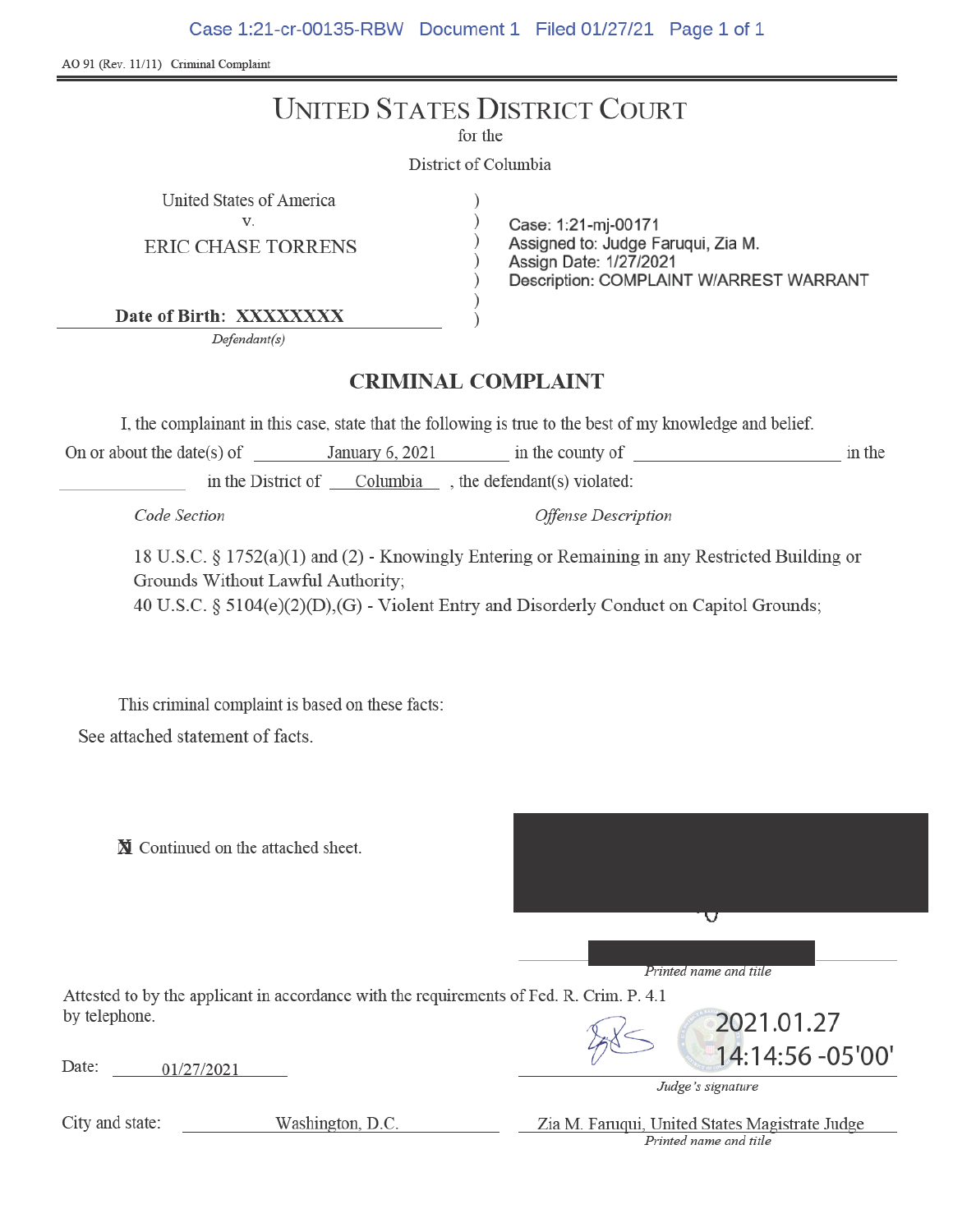Case 1:21-cr-00135-RBW Document 1 Filed 01/27/21 Page 1 of 1

AO 91 (Rev. 11/11) Criminal Complaint

|                                                                                                                                  | <b>UNITED STATES DISTRICT COURT</b><br>for the                                                                                                                                             |                                |
|----------------------------------------------------------------------------------------------------------------------------------|--------------------------------------------------------------------------------------------------------------------------------------------------------------------------------------------|--------------------------------|
|                                                                                                                                  | District of Columbia                                                                                                                                                                       |                                |
| United States of America<br>V.<br><b>ERIC CHASE TORRENS</b>                                                                      | Case: 1:21-mj-00171<br>Assigned to: Judge Faruqui, Zia M.<br>Assign Date: 1/27/2021<br>Description: COMPLAINT W/ARREST WARRANT                                                             |                                |
| Date of Birth: XXXXXXXX                                                                                                          |                                                                                                                                                                                            |                                |
| Defendant(s)                                                                                                                     |                                                                                                                                                                                            |                                |
|                                                                                                                                  | <b>CRIMINAL COMPLAINT</b>                                                                                                                                                                  |                                |
|                                                                                                                                  | I, the complainant in this case, state that the following is true to the best of my knowledge and belief.                                                                                  |                                |
|                                                                                                                                  | On or about the date(s) of January 6, 2021 in the county of                                                                                                                                | in the                         |
|                                                                                                                                  | in the District of Columbia , the defendant(s) violated:                                                                                                                                   |                                |
| Code Section                                                                                                                     | <b>Offense Description</b>                                                                                                                                                                 |                                |
| Grounds Without Lawful Authority;                                                                                                | 18 U.S.C. § 1752(a)(1) and (2) - Knowingly Entering or Remaining in any Restricted Building or<br>40 U.S.C. § 5104(e)(2)(D),(G) - Violent Entry and Disorderly Conduct on Capitol Grounds; |                                |
| This criminal complaint is based on these facts:                                                                                 |                                                                                                                                                                                            |                                |
| See attached statement of facts.                                                                                                 |                                                                                                                                                                                            |                                |
| N Continued on the attached sheet.                                                                                               | v                                                                                                                                                                                          |                                |
|                                                                                                                                  | Printed name and title                                                                                                                                                                     |                                |
|                                                                                                                                  |                                                                                                                                                                                            |                                |
| Attested to by the applicant in accordance with the requirements of Fed. R. Crim. P. 4.1<br>by telephone.<br>Date:<br>01/27/2021 | Judge's signature                                                                                                                                                                          | 2021.01.27<br>14:14:56 -05'00' |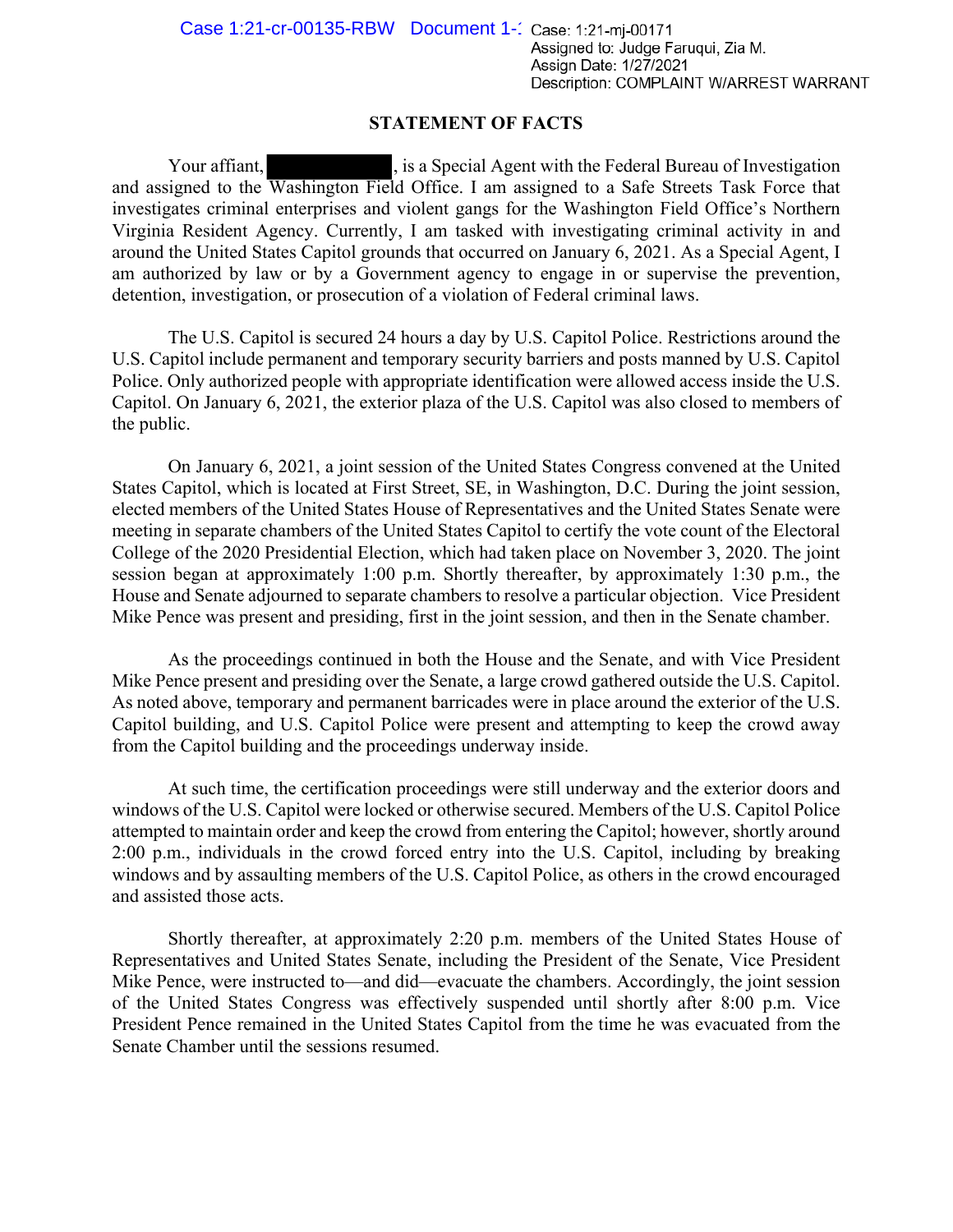### **STATEMENT OF FACTS**

Your affiant,  $\frac{1}{1}$ , is a Special Agent with the Federal Bureau of Investigation and assigned to the Washington Field Office. I am assigned to a Safe Streets Task Force that investigates criminal enterprises and violent gangs for the Washington Field Office's Northern Virginia Resident Agency. Currently, I am tasked with investigating criminal activity in and around the United States Capitol grounds that occurred on January 6, 2021. As a Special Agent, I am authorized by law or by a Government agency to engage in or supervise the prevention, detention, investigation, or prosecution of a violation of Federal criminal laws.

The U.S. Capitol is secured 24 hours a day by U.S. Capitol Police. Restrictions around the U.S. Capitol include permanent and temporary security barriers and posts manned by U.S. Capitol Police. Only authorized people with appropriate identification were allowed access inside the U.S. Capitol. On January 6, 2021, the exterior plaza of the U.S. Capitol was also closed to members of the public.

On January 6, 2021, a joint session of the United States Congress convened at the United States Capitol, which is located at First Street, SE, in Washington, D.C. During the joint session, elected members of the United States House of Representatives and the United States Senate were meeting in separate chambers of the United States Capitol to certify the vote count of the Electoral College of the 2020 Presidential Election, which had taken place on November 3, 2020. The joint session began at approximately 1:00 p.m. Shortly thereafter, by approximately 1:30 p.m., the House and Senate adjourned to separate chambers to resolve a particular objection. Vice President Mike Pence was present and presiding, first in the joint session, and then in the Senate chamber.

As the proceedings continued in both the House and the Senate, and with Vice President Mike Pence present and presiding over the Senate, a large crowd gathered outside the U.S. Capitol. As noted above, temporary and permanent barricades were in place around the exterior of the U.S. Capitol building, and U.S. Capitol Police were present and attempting to keep the crowd away from the Capitol building and the proceedings underway inside.

At such time, the certification proceedings were still underway and the exterior doors and windows of the U.S. Capitol were locked or otherwise secured. Members of the U.S. Capitol Police attempted to maintain order and keep the crowd from entering the Capitol; however, shortly around 2:00 p.m., individuals in the crowd forced entry into the U.S. Capitol, including by breaking windows and by assaulting members of the U.S. Capitol Police, as others in the crowd encouraged and assisted those acts.

Shortly thereafter, at approximately 2:20 p.m. members of the United States House of Representatives and United States Senate, including the President of the Senate, Vice President Mike Pence, were instructed to—and did—evacuate the chambers. Accordingly, the joint session of the United States Congress was effectively suspended until shortly after 8:00 p.m. Vice President Pence remained in the United States Capitol from the time he was evacuated from the Senate Chamber until the sessions resumed.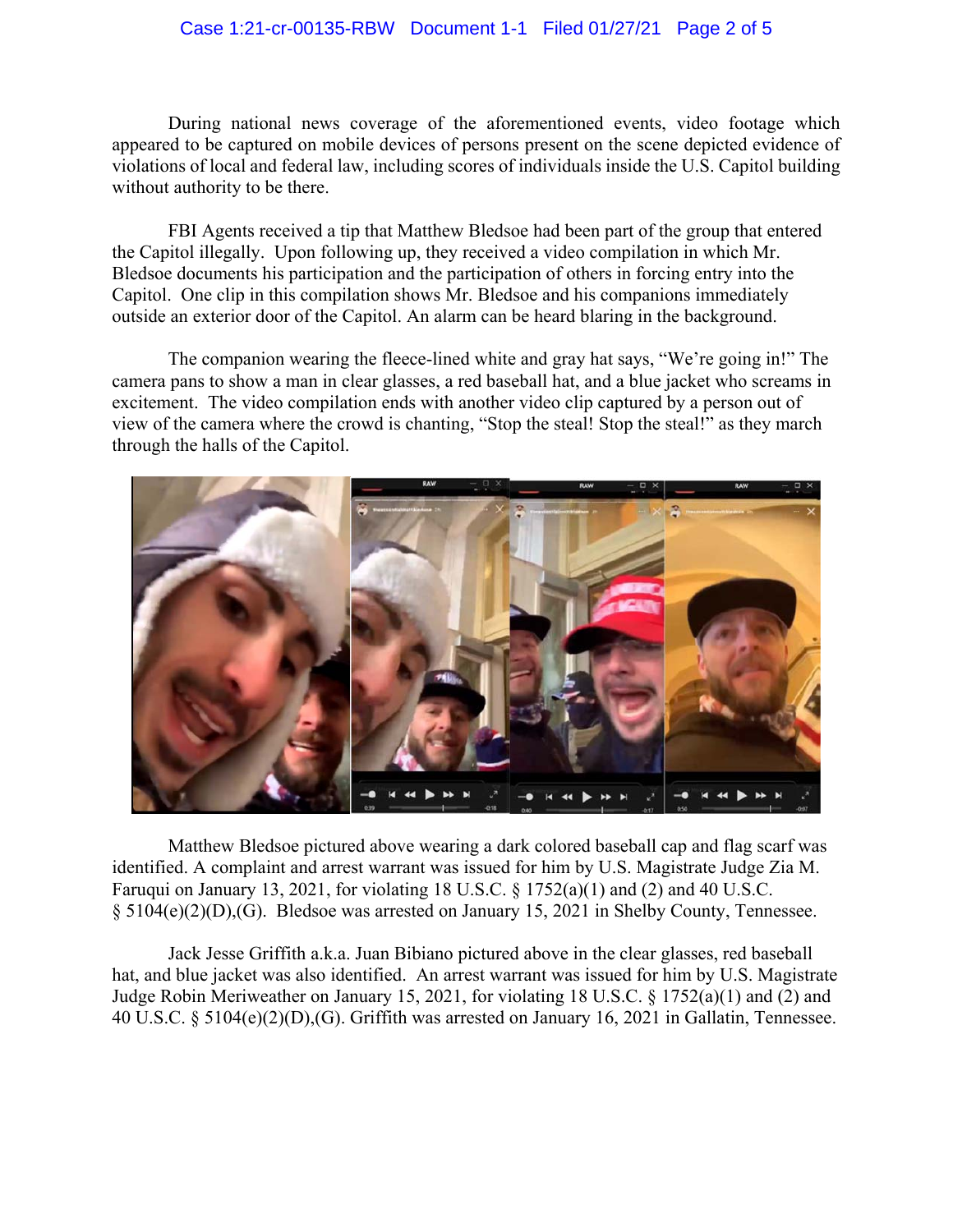### Case 1:21-cr-00135-RBW Document 1-1 Filed 01/27/21 Page 2 of 5

During national news coverage of the aforementioned events, video footage which appeared to be captured on mobile devices of persons present on the scene depicted evidence of violations of local and federal law, including scores of individuals inside the U.S. Capitol building without authority to be there.

FBI Agents received a tip that Matthew Bledsoe had been part of the group that entered the Capitol illegally. Upon following up, they received a video compilation in which Mr. Bledsoe documents his participation and the participation of others in forcing entry into the Capitol. One clip in this compilation shows Mr. Bledsoe and his companions immediately outside an exterior door of the Capitol. An alarm can be heard blaring in the background.

The companion wearing the fleece-lined white and gray hat says, "We're going in!" The camera pans to show a man in clear glasses, a red baseball hat, and a blue jacket who screams in excitement. The video compilation ends with another video clip captured by a person out of view of the camera where the crowd is chanting, "Stop the steal! Stop the steal!" as they march through the halls of the Capitol.



Matthew Bledsoe pictured above wearing a dark colored baseball cap and flag scarf was identified. A complaint and arrest warrant was issued for him by U.S. Magistrate Judge Zia M. Faruqui on January 13, 2021, for violating 18 U.S.C. § 1752(a)(1) and (2) and 40 U.S.C. § 5104(e)(2)(D),(G). Bledsoe was arrested on January 15, 2021 in Shelby County, Tennessee.

Jack Jesse Griffith a.k.a. Juan Bibiano pictured above in the clear glasses, red baseball hat, and blue jacket was also identified. An arrest warrant was issued for him by U.S. Magistrate Judge Robin Meriweather on January 15, 2021, for violating 18 U.S.C. § 1752(a)(1) and (2) and 40 U.S.C. § 5104(e)(2)(D),(G). Griffith was arrested on January 16, 2021 in Gallatin, Tennessee.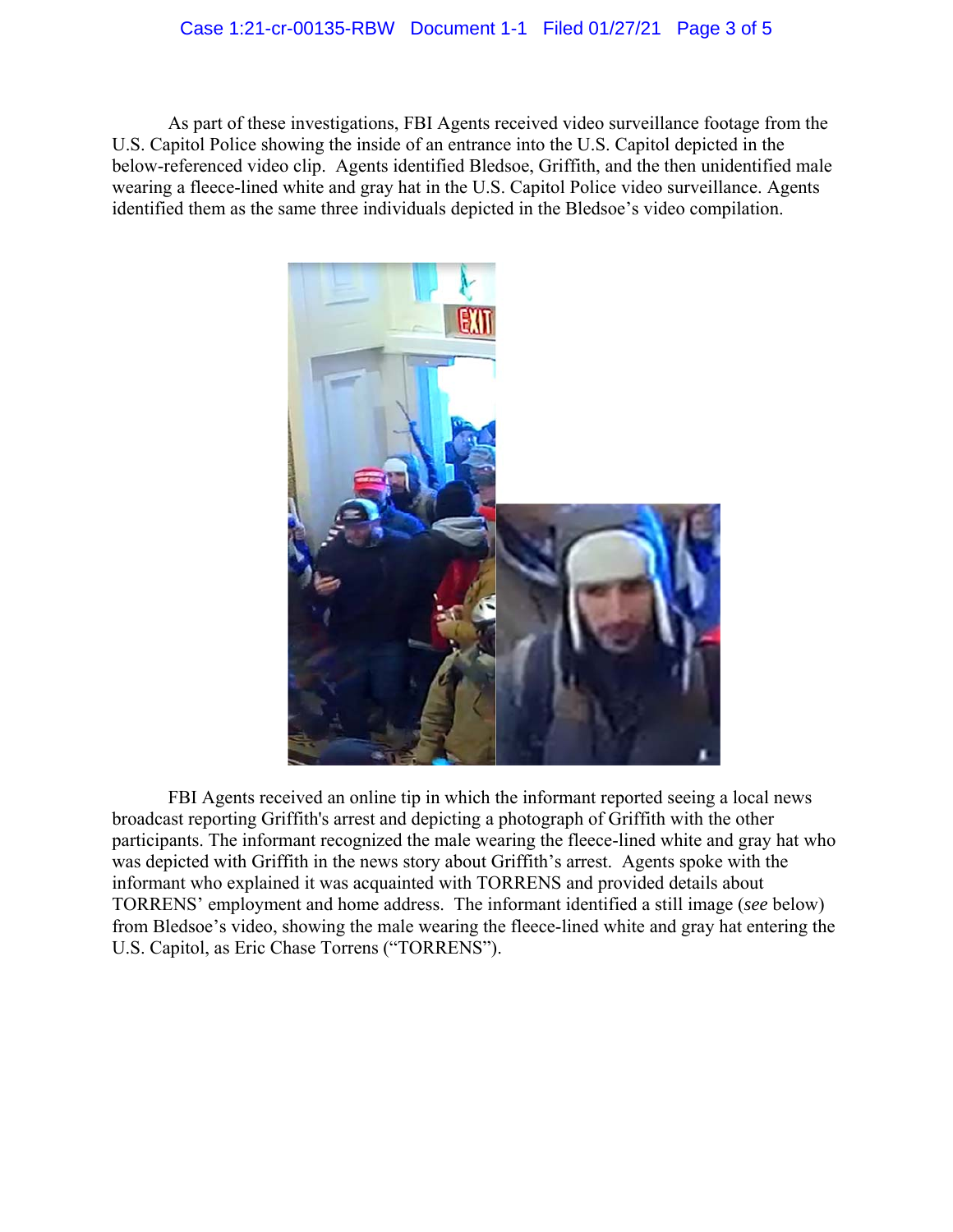#### Case 1:21-cr-00135-RBW Document 1-1 Filed 01/27/21 Page 3 of 5

As part of these investigations, FBI Agents received video surveillance footage from the U.S. Capitol Police showing the inside of an entrance into the U.S. Capitol depicted in the below-referenced video clip. Agents identified Bledsoe, Griffith, and the then unidentified male wearing a fleece-lined white and gray hat in the U.S. Capitol Police video surveillance. Agents identified them as the same three individuals depicted in the Bledsoe's video compilation.



FBI Agents received an online tip in which the informant reported seeing a local news broadcast reporting Griffith's arrest and depicting a photograph of Griffith with the other participants. The informant recognized the male wearing the fleece-lined white and gray hat who was depicted with Griffith in the news story about Griffith's arrest. Agents spoke with the informant who explained it was acquainted with TORRENS and provided details about TORRENS' employment and home address. The informant identified a still image (*see* below) from Bledsoe's video, showing the male wearing the fleece-lined white and gray hat entering the U.S. Capitol, as Eric Chase Torrens ("TORRENS").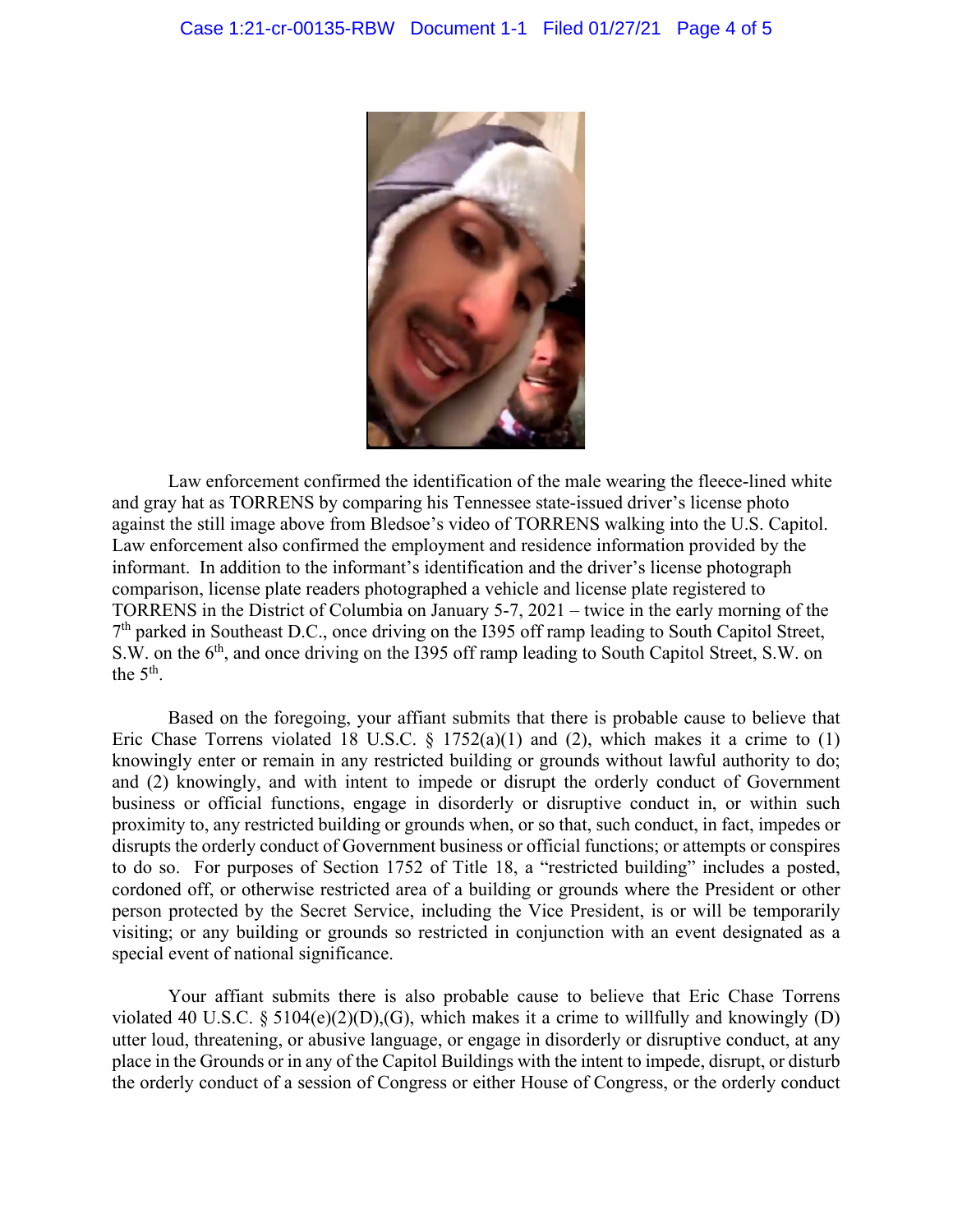

Law enforcement confirmed the identification of the male wearing the fleece-lined white and gray hat as TORRENS by comparing his Tennessee state-issued driver's license photo against the still image above from Bledsoe's video of TORRENS walking into the U.S. Capitol. Law enforcement also confirmed the employment and residence information provided by the informant. In addition to the informant's identification and the driver's license photograph comparison, license plate readers photographed a vehicle and license plate registered to TORRENS in the District of Columbia on January 5-7, 2021 – twice in the early morning of the  $7<sup>th</sup>$  parked in Southeast D.C., once driving on the I395 off ramp leading to South Capitol Street, S.W. on the 6<sup>th</sup>, and once driving on the I395 off ramp leading to South Capitol Street, S.W. on the  $5<sup>th</sup>$ .

Based on the foregoing, your affiant submits that there is probable cause to believe that Eric Chase Torrens violated 18 U.S.C.  $\S$  1752(a)(1) and (2), which makes it a crime to (1) knowingly enter or remain in any restricted building or grounds without lawful authority to do; and (2) knowingly, and with intent to impede or disrupt the orderly conduct of Government business or official functions, engage in disorderly or disruptive conduct in, or within such proximity to, any restricted building or grounds when, or so that, such conduct, in fact, impedes or disrupts the orderly conduct of Government business or official functions; or attempts or conspires to do so. For purposes of Section 1752 of Title 18, a "restricted building" includes a posted, cordoned off, or otherwise restricted area of a building or grounds where the President or other person protected by the Secret Service, including the Vice President, is or will be temporarily visiting; or any building or grounds so restricted in conjunction with an event designated as a special event of national significance.

Your affiant submits there is also probable cause to believe that Eric Chase Torrens violated 40 U.S.C. § 5104 $(e)(2)(D)$ , (G), which makes it a crime to willfully and knowingly (D) utter loud, threatening, or abusive language, or engage in disorderly or disruptive conduct, at any place in the Grounds or in any of the Capitol Buildings with the intent to impede, disrupt, or disturb the orderly conduct of a session of Congress or either House of Congress, or the orderly conduct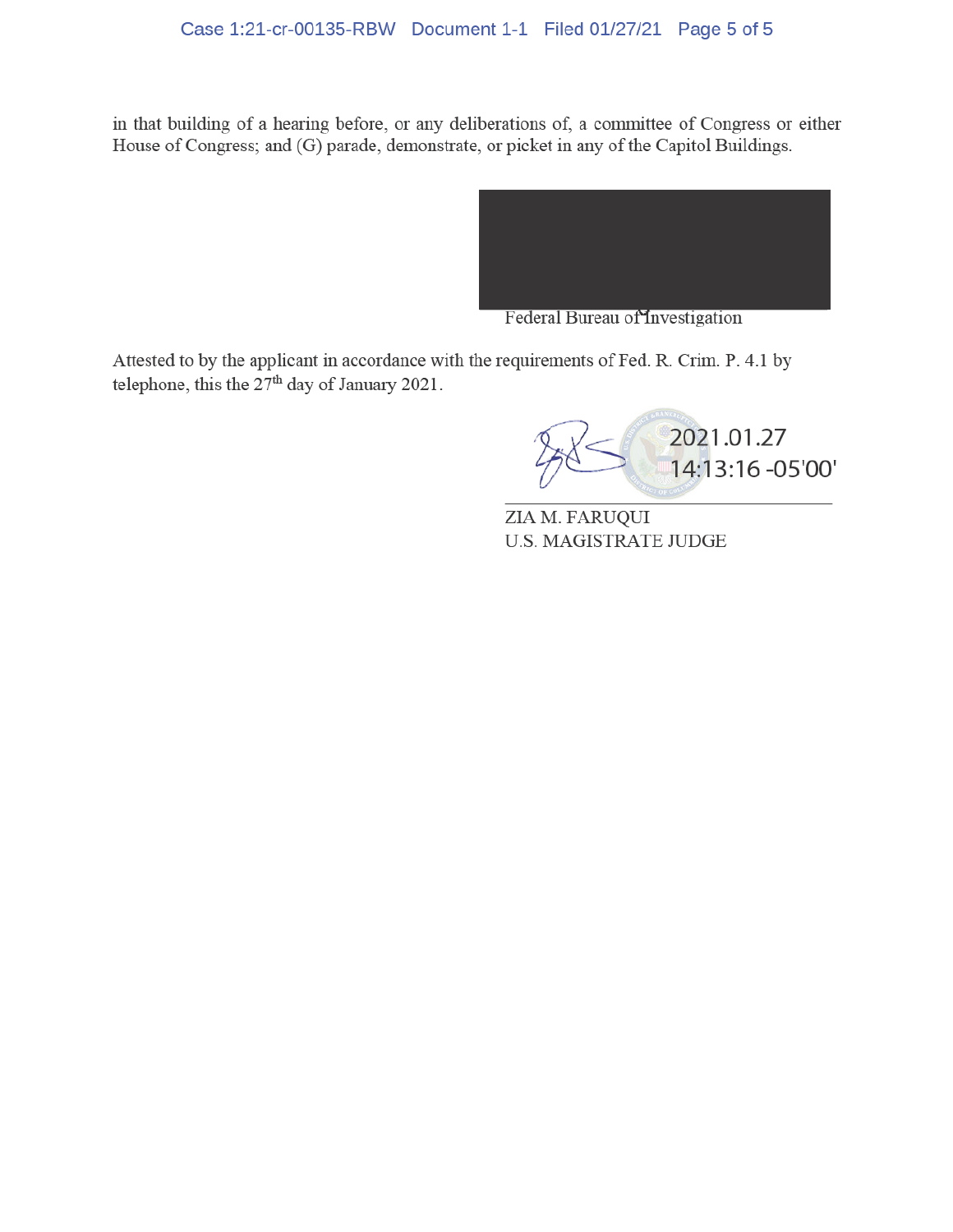# Case 1:21-cr-00135-RBW Document 1-1 Filed 01/27/21 Page 5 of 5

in that building of a hearing before, or any deliberations of, a committee of Congress or either House of Congress; and (G) parade, demonstrate, or picket in any of the Capitol Buildings.



Federal Bureau of Investigation

Attested to by the applicant in accordance with the requirements of Fed. R. Crim. P. 4.1 by telephone, this the  $27<sup>th</sup>$  day of January 2021.

[2021.01.27](https://2021.01.27)  14:13:16 -05'00'

ZIA M. FARUQUI U.S. MAGISTRATE JUDGE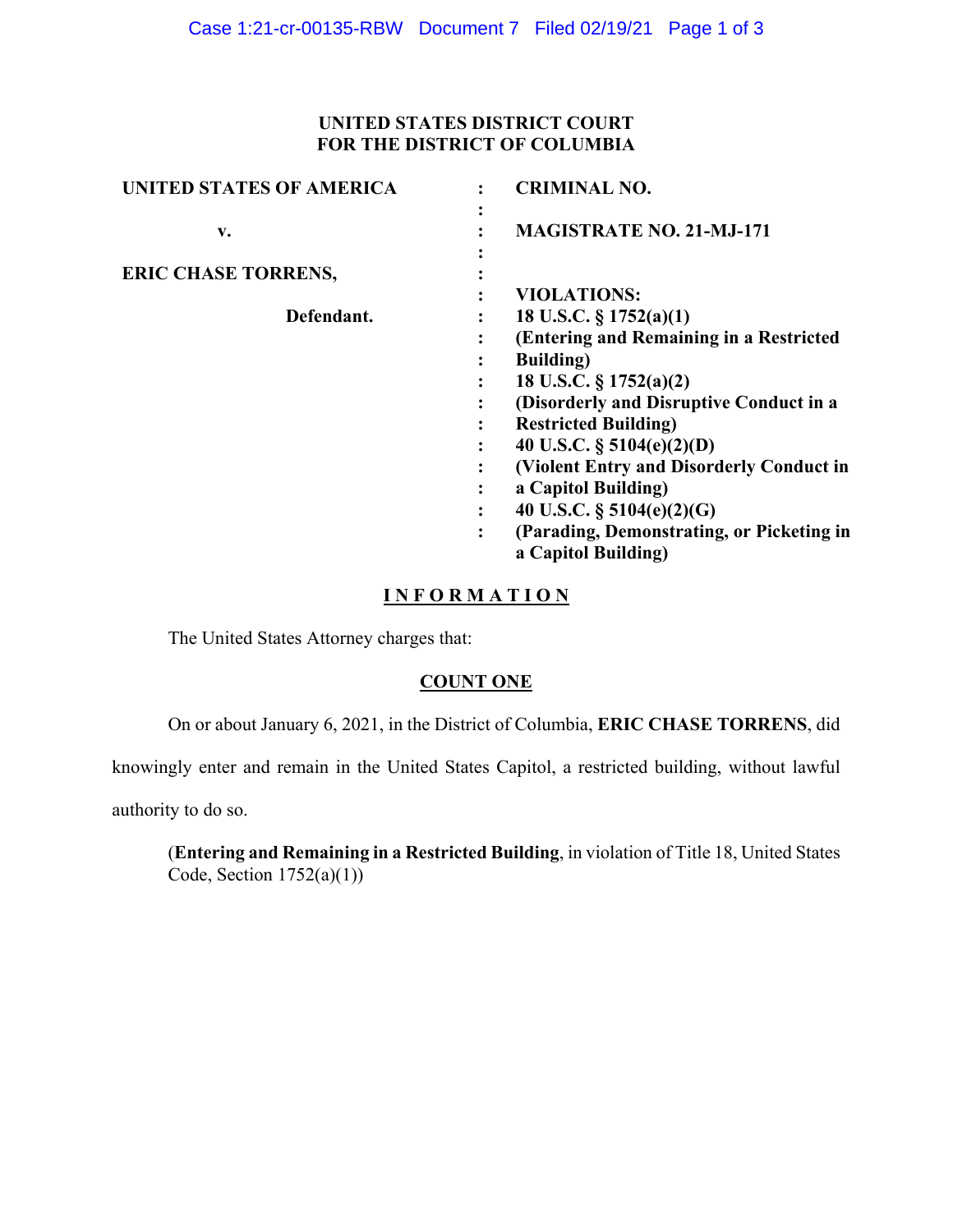### **UNITED STATES DISTRICT COURT FOR THE DISTRICT OF COLUMBIA**

| <b>UNITED STATES OF AMERICA</b> | <b>CRIMINAL NO.</b>                            |
|---------------------------------|------------------------------------------------|
| v.                              | ٠<br><b>MAGISTRATE NO. 21-MJ-171</b>           |
| <b>ERIC CHASE TORRENS,</b>      |                                                |
|                                 | <b>VIOLATIONS:</b>                             |
| Defendant.                      | 18 U.S.C. § 1752(a)(1)                         |
|                                 | (Entering and Remaining in a Restricted        |
|                                 | <b>Building</b> )<br>٠                         |
|                                 | 18 U.S.C. $\S 1752(a)(2)$                      |
|                                 | (Disorderly and Disruptive Conduct in a        |
|                                 | <b>Restricted Building</b> )<br>٠              |
|                                 | 40 U.S.C. $\S$ 5104(e)(2)(D)                   |
|                                 | (Violent Entry and Disorderly Conduct in       |
|                                 | a Capitol Building)<br>٠                       |
|                                 | 40 U.S.C. $\S$ 5104(e)(2)(G)<br>٠              |
|                                 | (Parading, Demonstrating, or Picketing in<br>፡ |
|                                 | a Capitol Building)                            |

# **I N F O R M A T I O N**

The United States Attorney charges that:

# **COUNT ONE**

On or about January 6, 2021, in the District of Columbia, **ERIC CHASE TORRENS**, did

knowingly enter and remain in the United States Capitol, a restricted building, without lawful

authority to do so.

(**Entering and Remaining in a Restricted Building**, in violation of Title 18, United States Code, Section  $1752(a)(1)$ )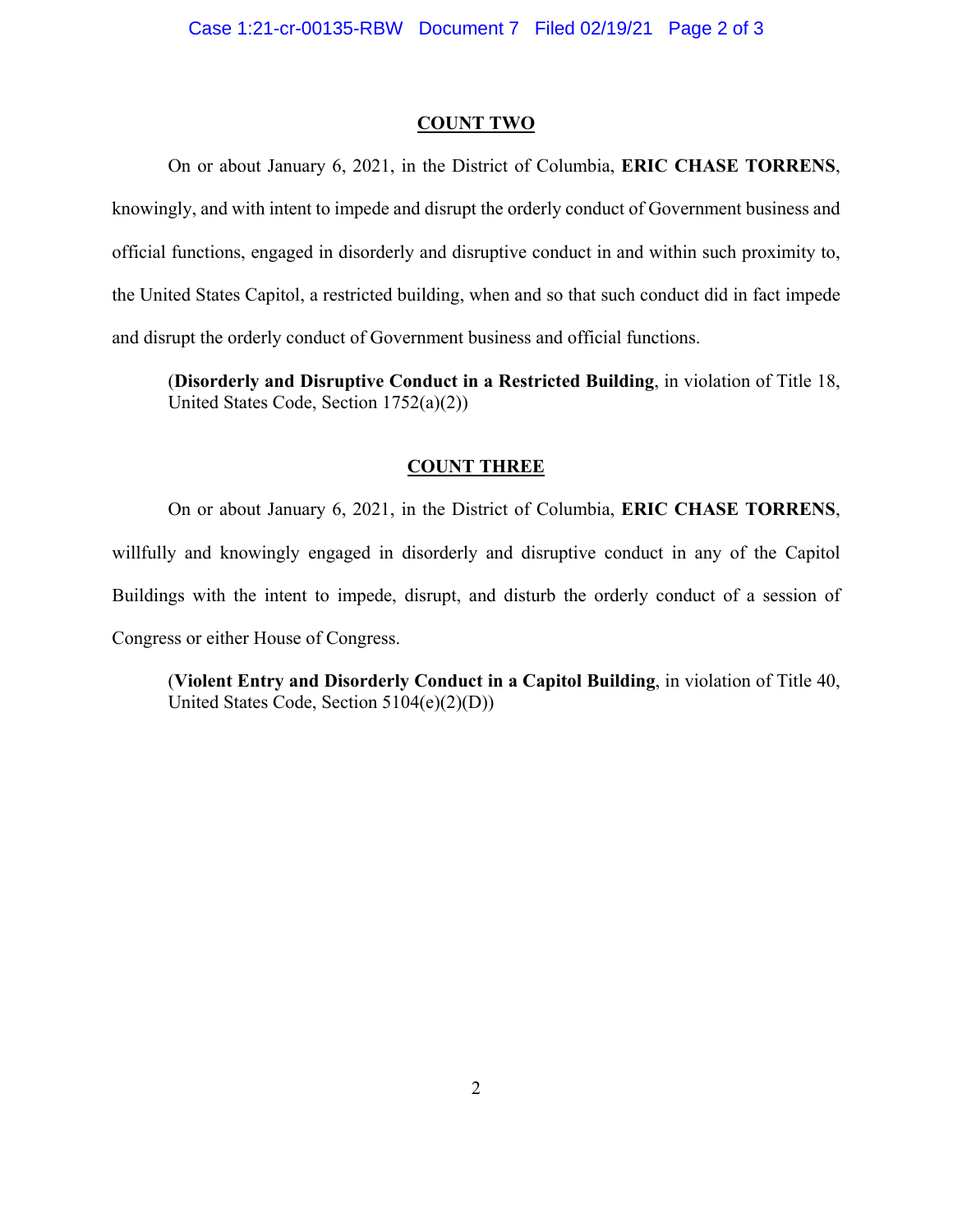#### **COUNT TWO**

 the United States Capitol, a restricted building, when and so that such conduct did in fact impede On or about January 6, 2021, in the District of Columbia, **ERIC CHASE TORRENS**, knowingly, and with intent to impede and disrupt the orderly conduct of Government business and official functions, engaged in disorderly and disruptive conduct in and within such proximity to, and disrupt the orderly conduct of Government business and official functions.

 (**Disorderly and Disruptive Conduct in a Restricted Building**, in violation of Title 18, United States Code, Section 1752(a)(2))

#### **COUNT THREE**

 Buildings with the intent to impede, disrupt, and disturb the orderly conduct of a session of On or about January 6, 2021, in the District of Columbia, **ERIC CHASE TORRENS**, willfully and knowingly engaged in disorderly and disruptive conduct in any of the Capitol Congress or either House of Congress.

(**Violent Entry and Disorderly Conduct in a Capitol Building**, in violation of Title 40, United States Code, Section 5104(e)(2)(D))